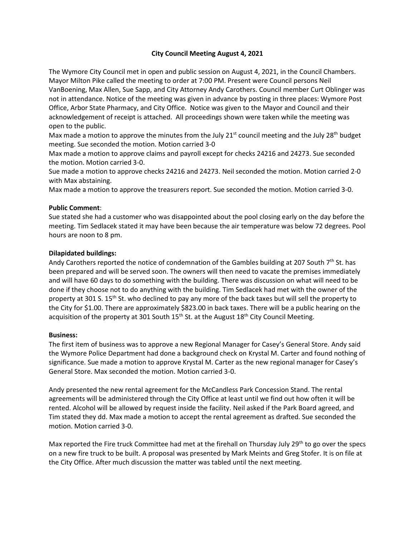## **City Council Meeting August 4, 2021**

The Wymore City Council met in open and public session on August 4, 2021, in the Council Chambers. Mayor Milton Pike called the meeting to order at 7:00 PM. Present were Council persons Neil VanBoening, Max Allen, Sue Sapp, and City Attorney Andy Carothers. Council member Curt Oblinger was not in attendance. Notice of the meeting was given in advance by posting in three places: Wymore Post Office, Arbor State Pharmacy, and City Office. Notice was given to the Mayor and Council and their acknowledgement of receipt is attached. All proceedings shown were taken while the meeting was open to the public.

Max made a motion to approve the minutes from the July  $21^{st}$  council meeting and the July  $28^{th}$  budget meeting. Sue seconded the motion. Motion carried 3-0

Max made a motion to approve claims and payroll except for checks 24216 and 24273. Sue seconded the motion. Motion carried 3-0.

Sue made a motion to approve checks 24216 and 24273. Neil seconded the motion. Motion carried 2-0 with Max abstaining.

Max made a motion to approve the treasurers report. Sue seconded the motion. Motion carried 3-0.

## **Public Comment**:

Sue stated she had a customer who was disappointed about the pool closing early on the day before the meeting. Tim Sedlacek stated it may have been because the air temperature was below 72 degrees. Pool hours are noon to 8 pm.

## **Dilapidated buildings:**

Andy Carothers reported the notice of condemnation of the Gambles building at 207 South 7<sup>th</sup> St. has been prepared and will be served soon. The owners will then need to vacate the premises immediately and will have 60 days to do something with the building. There was discussion on what will need to be done if they choose not to do anything with the building. Tim Sedlacek had met with the owner of the property at 301 S. 15<sup>th</sup> St. who declined to pay any more of the back taxes but will sell the property to the City for \$1.00. There are approximately \$823.00 in back taxes. There will be a public hearing on the acquisition of the property at 301 South  $15<sup>th</sup>$  St. at the August  $18<sup>th</sup>$  City Council Meeting.

## **Business:**

The first item of business was to approve a new Regional Manager for Casey's General Store. Andy said the Wymore Police Department had done a background check on Krystal M. Carter and found nothing of significance. Sue made a motion to approve Krystal M. Carter as the new regional manager for Casey's General Store. Max seconded the motion. Motion carried 3-0.

Andy presented the new rental agreement for the McCandless Park Concession Stand. The rental agreements will be administered through the City Office at least until we find out how often it will be rented. Alcohol will be allowed by request inside the facility. Neil asked if the Park Board agreed, and Tim stated they dd. Max made a motion to accept the rental agreement as drafted. Sue seconded the motion. Motion carried 3-0.

Max reported the Fire truck Committee had met at the firehall on Thursday July 29<sup>th</sup> to go over the specs on a new fire truck to be built. A proposal was presented by Mark Meints and Greg Stofer. It is on file at the City Office. After much discussion the matter was tabled until the next meeting.